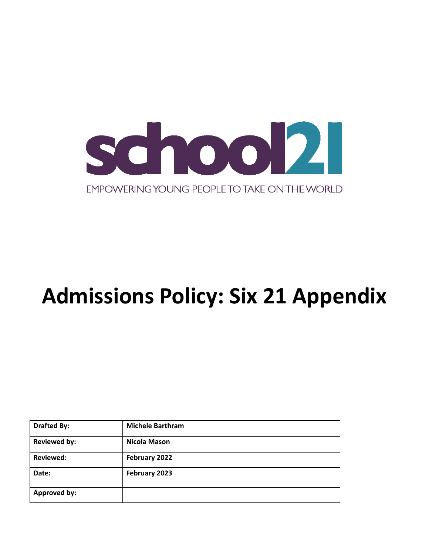

# **Admissions Policy: Six 21 Appendix**

| <b>Drafted By:</b>  | <b>Michele Barthram</b> |
|---------------------|-------------------------|
| <b>Reviewed by:</b> | <b>Nicola Mason</b>     |
| <b>Reviewed:</b>    | February 2022           |
| Date:               | February 2023           |
| <b>Approved by:</b> |                         |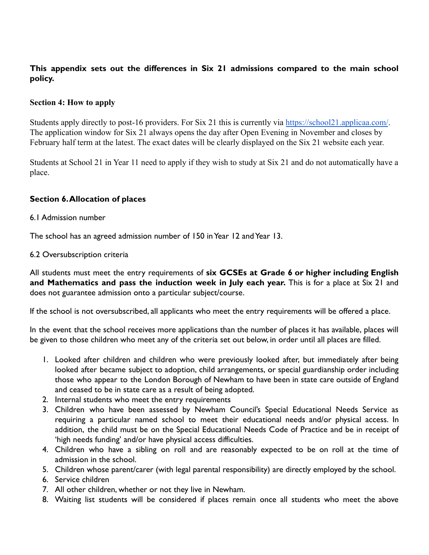# **This appendix sets out the differences in Six 21 admissions compared to the main school policy.**

## **Section 4: How to apply**

Students apply directly to post-16 providers. For Six 21 this is currently via <https://school21.applicaa.com/>. The application window for Six 21 always opens the day after Open Evening in November and closes by February half term at the latest. The exact dates will be clearly displayed on the Six 21 website each year.

Students at School 21 in Year 11 need to apply if they wish to study at Six 21 and do not automatically have a place.

## **Section 6.Allocation of places**

#### 6.1 Admission number

The school has an agreed admission number of 150 in Year 12 and Year 13.

#### 6.2 Oversubscription criteria

All students must meet the entry requirements of **six GCSEs at Grade 6 or higher including English and Mathematics and pass the induction week in July each year.** This is for a place at Six 21 and does not guarantee admission onto a particular subject/course.

If the school is not oversubscribed, all applicants who meet the entry requirements will be offered a place.

In the event that the school receives more applications than the number of places it has available, places will be given to those children who meet any of the criteria set out below, in order until all places are filled.

- 1. Looked after children and children who were previously looked after, but immediately after being looked after became subject to adoption, child arrangements, or special guardianship order including those who appear to the London Borough of Newham to have been in state care outside of England and ceased to be in state care as a result of being adopted.
- 2. Internal students who meet the entry requirements
- 3. Children who have been assessed by Newham Council's Special Educational Needs Service as requiring a particular named school to meet their educational needs and/or physical access. In addition, the child must be on the Special Educational Needs Code of Practice and be in receipt of 'high needs funding' and/or have physical access difficulties.
- 4. Children who have a sibling on roll and are reasonably expected to be on roll at the time of admission in the school.
- 5. Children whose parent/carer (with legal parental responsibility) are directly employed by the school.
- 6. Service children
- 7. All other children, whether or not they live in Newham.
- 8. Waiting list students will be considered if places remain once all students who meet the above